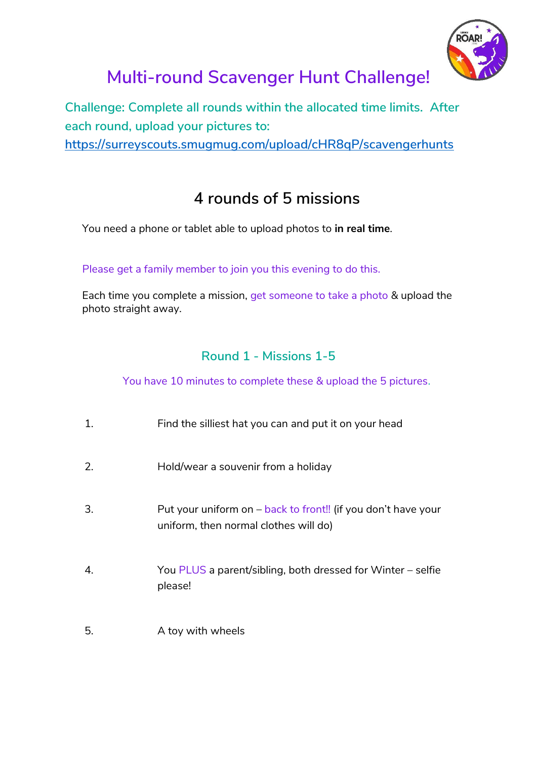

# **Multi-round Scavenger Hunt Challenge!**

**Challenge: Complete all rounds within the allocated time limits. After each round, upload your pictures to:**

**<https://surreyscouts.smugmug.com/upload/cHR8qP/scavengerhunts>**

## **4 rounds of 5 missions**

You need a phone or tablet able to upload photos to **in real time**.

Please get a family member to join you this evening to do this.

Each time you complete a mission, get someone to take a photo & upload the photo straight away.

### **Round 1 - Missions 1-5**

You have 10 minutes to complete these & upload the 5 pictures.

| 1. | Find the silliest hat you can and put it on your head                                                  |
|----|--------------------------------------------------------------------------------------------------------|
| 2. | Hold/wear a souvenir from a holiday                                                                    |
| 3. | Put your uniform on – back to front!! (if you don't have your<br>uniform, then normal clothes will do) |
| 4. | You PLUS a parent/sibling, both dressed for Winter – selfie<br>please!                                 |
| 5. | A toy with wheels                                                                                      |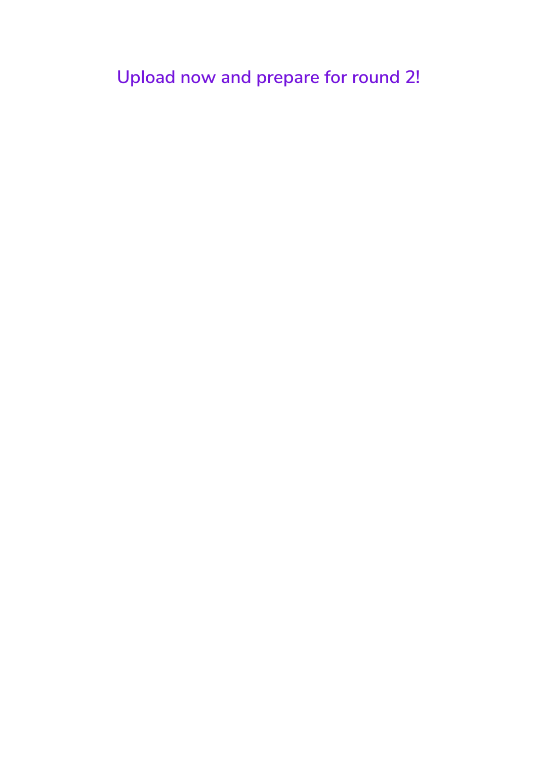**Upload now and prepare for round 2!**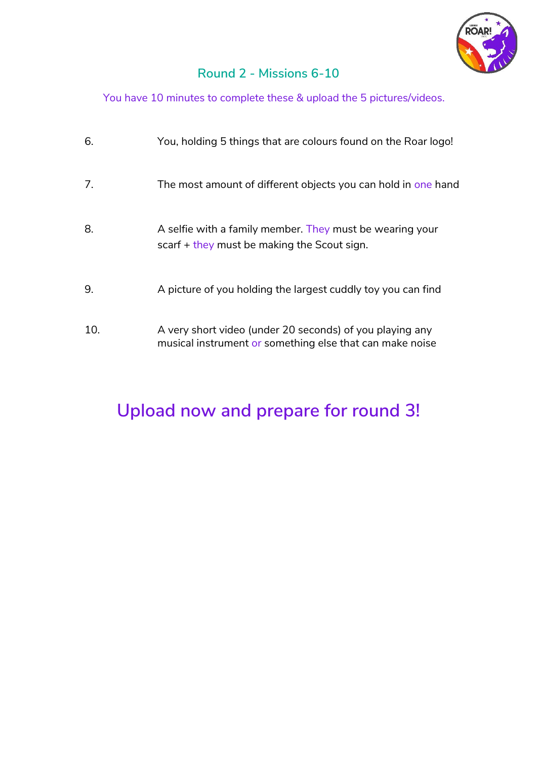

### **Round 2 - Missions 6-10**

You have 10 minutes to complete these & upload the 5 pictures/videos.

| 6.  | You, holding 5 things that are colours found on the Roar logo!                                                       |
|-----|----------------------------------------------------------------------------------------------------------------------|
| 7.  | The most amount of different objects you can hold in one hand                                                        |
| 8.  | A selfie with a family member. They must be wearing your<br>scarf $+$ they must be making the Scout sign.            |
| 9.  | A picture of you holding the largest cuddly toy you can find                                                         |
| 10. | A very short video (under 20 seconds) of you playing any<br>musical instrument or something else that can make noise |

## **Upload now and prepare for round 3!**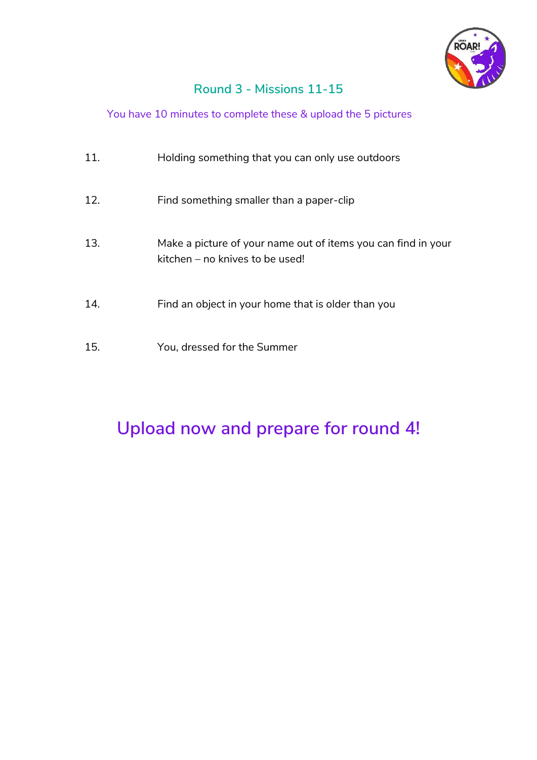

### **Round 3 - Missions 11-15**

#### You have 10 minutes to complete these & upload the 5 pictures

| 11. | Holding something that you can only use outdoors                                                 |
|-----|--------------------------------------------------------------------------------------------------|
| 12. | Find something smaller than a paper-clip                                                         |
| 13. | Make a picture of your name out of items you can find in your<br>kitchen – no knives to be used! |
| 14. | Find an object in your home that is older than you                                               |
| 15. | You, dressed for the Summer                                                                      |

## **Upload now and prepare for round 4!**